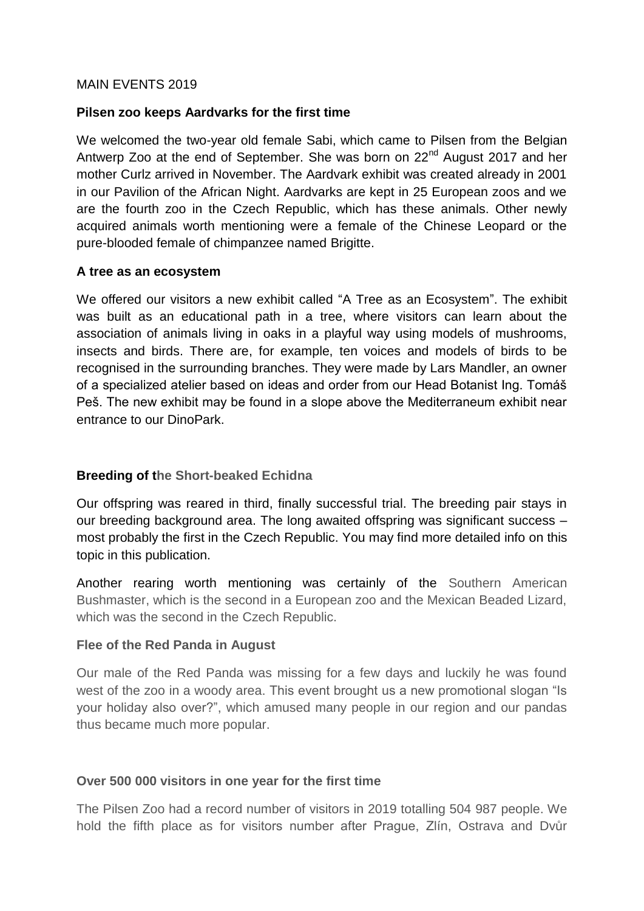## MAIN EVENTS 2019

#### **Pilsen zoo keeps Aardvarks for the first time**

We welcomed the two-year old female Sabi, which came to Pilsen from the Belgian Antwerp Zoo at the end of September. She was born on  $22<sup>nd</sup>$  August 2017 and her mother Curlz arrived in November. The Aardvark exhibit was created already in 2001 in our Pavilion of the African Night. Aardvarks are kept in 25 European zoos and we are the fourth zoo in the Czech Republic, which has these animals. Other newly acquired animals worth mentioning were a female of the Chinese Leopard or the pure-blooded female of chimpanzee named Brigitte.

## **A tree as an ecosystem**

We offered our visitors a new exhibit called "A Tree as an Ecosystem". The exhibit was built as an educational path in a tree, where visitors can learn about the association of animals living in oaks in a playful way using models of mushrooms, insects and birds. There are, for example, ten voices and models of birds to be recognised in the surrounding branches. They were made by Lars Mandler, an owner of a specialized atelier based on ideas and order from our Head Botanist Ing. Tomáš Peš. The new exhibit may be found in a slope above the Mediterraneum exhibit near entrance to our DinoPark.

# **Breeding of the Short-beaked Echidna**

Our offspring was reared in third, finally successful trial. The breeding pair stays in our breeding background area. The long awaited offspring was significant success – most probably the first in the Czech Republic. You may find more detailed info on this topic in this publication.

Another rearing worth mentioning was certainly of the Southern American Bushmaster, which is the second in a European zoo and the Mexican Beaded Lizard, which was the second in the Czech Republic.

#### **Flee of the Red Panda in August**

Our male of the Red Panda was missing for a few days and luckily he was found west of the zoo in a woody area. This event brought us a new promotional slogan "Is your holiday also over?", which amused many people in our region and our pandas thus became much more popular.

# **Over 500 000 visitors in one year for the first time**

The Pilsen Zoo had a record number of visitors in 2019 totalling 504 987 people. We hold the fifth place as for visitors number after Prague, Zlín, Ostrava and Dvůr